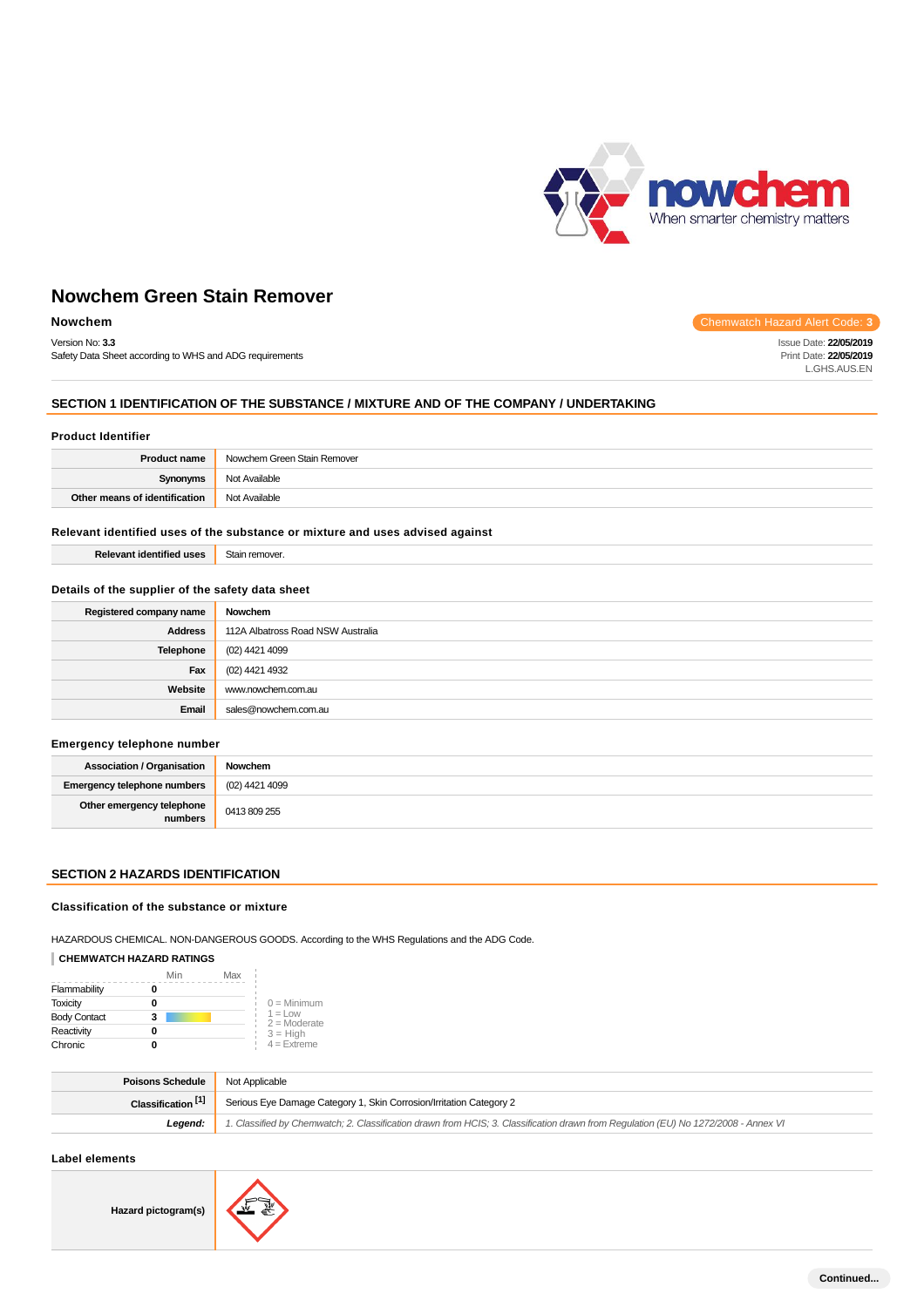

Issue Date: **22/05/2019** Print Date: **22/05/2019** L.GHS.AUS.EN

# **Nowchem Green Stain Remover**

# **Nowchem** Chemwatch Hazard Alert Code: 3

Version No: **3.3**

Safety Data Sheet according to WHS and ADG requirements

# **SECTION 1 IDENTIFICATION OF THE SUBSTANCE / MIXTURE AND OF THE COMPANY / UNDERTAKING**

### **Product Identifier**

| <b>Product name</b>           | Nowchem Green Stain Remover |
|-------------------------------|-----------------------------|
| <b>Synonyms</b>               | Not Available               |
| Other means of identification | Not Available               |

#### **Relevant identified uses of the substance or mixture and uses advised against**

| remove<br>ڪا⊂ |
|---------------|
|               |

### **Details of the supplier of the safety data sheet**

| Registered company name | Nowchem                           |
|-------------------------|-----------------------------------|
| <b>Address</b>          | 112A Albatross Road NSW Australia |
| Telephone               | (02) 4421 4099                    |
| Fax                     | (02) 4421 4932                    |
| Website                 | www.nowchem.com.au                |
| Email                   | sales@nowchem.com.au              |

### **Emergency telephone number**

| <b>Association / Organisation</b>    | Nowchem        |
|--------------------------------------|----------------|
| Emergency telephone numbers          | (02) 4421 4099 |
| Other emergency telephone<br>numbers | 0413 809 255   |

# **SECTION 2 HAZARDS IDENTIFICATION**

## **Classification of the substance or mixture**

HAZARDOUS CHEMICAL. NON-DANGEROUS GOODS. According to the WHS Regulations and the ADG Code.

## **CHEMWATCH HAZARD RATINGS**

|                     | Min | Max |                             |
|---------------------|-----|-----|-----------------------------|
| Flammability        |     |     |                             |
| <b>Toxicity</b>     |     |     | $0 =$ Minimum               |
| <b>Body Contact</b> |     |     | $1 =$ Low<br>$2 =$ Moderate |
| Reactivity          | O   |     | $3 = High$                  |
| Chronic             |     |     | $4 =$ Extreme               |

| <b>Poisons Schedule</b> Not Applicable |                                                                                                                                     |  |
|----------------------------------------|-------------------------------------------------------------------------------------------------------------------------------------|--|
| Classification <sup>[1]</sup>          | Serious Eye Damage Category 1, Skin Corrosion/Irritation Category 2                                                                 |  |
| Leaend:                                | 1. Classified by Chemwatch; 2. Classification drawn from HCIS; 3. Classification drawn from Requlation (EU) No 1272/2008 - Annex VI |  |

### **Label elements**

**Hazard pictogram(s)**

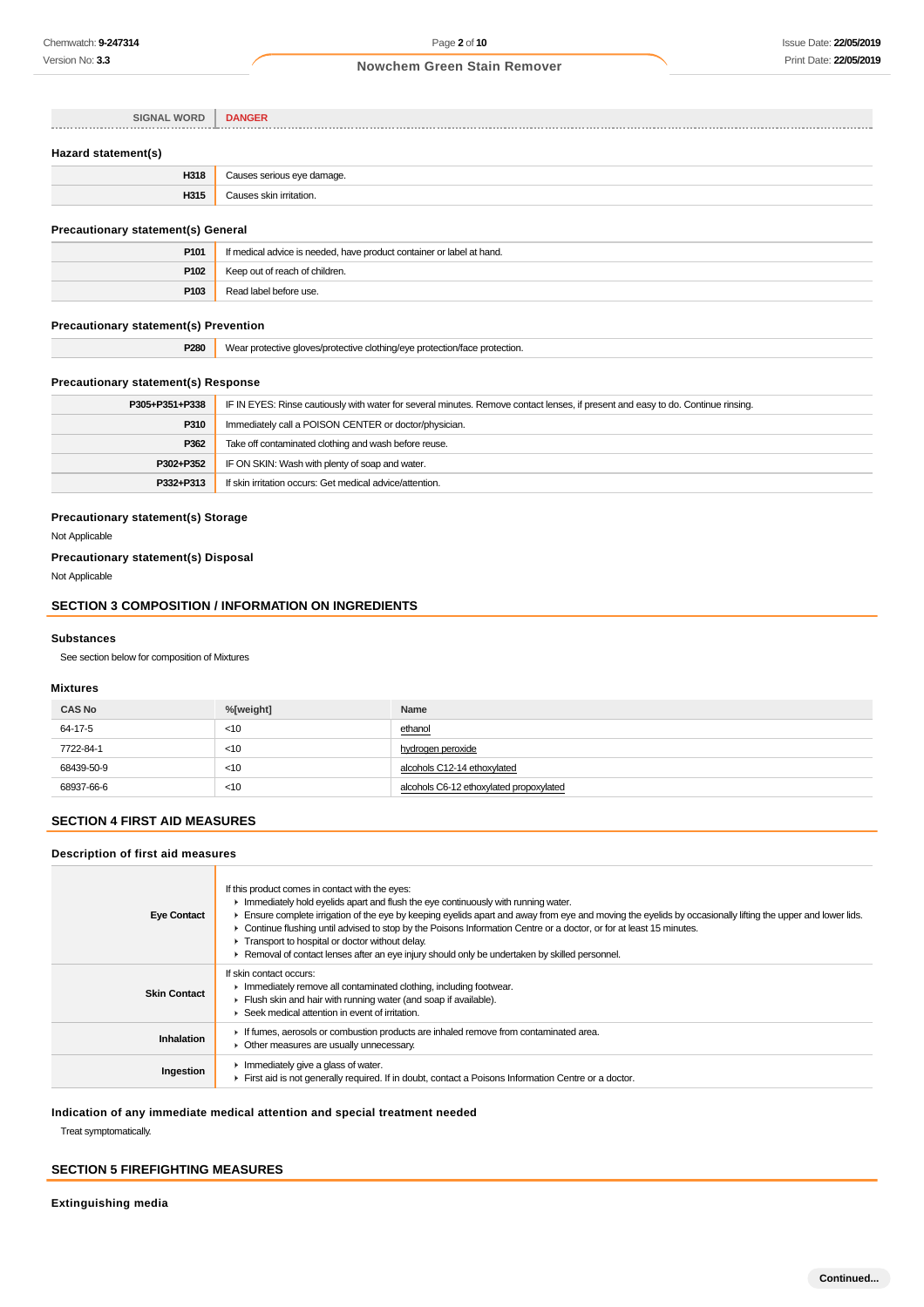| <b>SIGNAL WORD</b>  | <b>DANGER</b>              |
|---------------------|----------------------------|
|                     |                            |
| Hazard statement(s) |                            |
| H318                | Causes serious eye damage. |
| H315                | Causes skin irritation.    |

# **Precautionary statement(s) General**

| P101 | If medical advice is needed, have product container or label at hand. |
|------|-----------------------------------------------------------------------|
| P102 | Keep out of reach of children.                                        |
| P103 | Read label before use.                                                |

## **Precautionary statement(s) Prevention**

| <b>P280</b><br>Wear protective gloves/protective clothing/eve protection/face protection. |  |
|-------------------------------------------------------------------------------------------|--|
|-------------------------------------------------------------------------------------------|--|

# **Precautionary statement(s) Response**

| P305+P351+P338 | IF IN EYES: Rinse cautiously with water for several minutes. Remove contact lenses, if present and easy to do. Continue rinsing. |  |
|----------------|----------------------------------------------------------------------------------------------------------------------------------|--|
| P310           | Immediately call a POISON CENTER or doctor/physician.                                                                            |  |
| P362           | Take off contaminated clothing and wash before reuse.                                                                            |  |
| P302+P352      | IF ON SKIN: Wash with plenty of soap and water.                                                                                  |  |
| P332+P313      | If skin irritation occurs: Get medical advice/attention.                                                                         |  |

### **Precautionary statement(s) Storage**

Not Applicable

## **Precautionary statement(s) Disposal**

Not Applicable

# **SECTION 3 COMPOSITION / INFORMATION ON INGREDIENTS**

#### **Substances**

See section below for composition of Mixtures

# **Mixtures**

| <b>CAS No</b> | %[weight] | Name                                    |
|---------------|-----------|-----------------------------------------|
| 64-17-5       | $<$ 10    | ethanol                                 |
| 7722-84-1     | $<$ 10    | hydrogen peroxide                       |
| 68439-50-9    | $<$ 10    | alcohols C12-14 ethoxylated             |
| 68937-66-6    | $<$ 10    | alcohols C6-12 ethoxylated propoxylated |

# **SECTION 4 FIRST AID MEASURES**

## **Description of first aid measures**

| <b>Eye Contact</b>  | If this product comes in contact with the eyes:<br>Immediately hold eyelids apart and flush the eye continuously with running water.<br>Ensure complete irrigation of the eye by keeping eyelids apart and away from eye and moving the eyelids by occasionally lifting the upper and lower lids.<br>► Continue flushing until advised to stop by the Poisons Information Centre or a doctor, or for at least 15 minutes.<br>Transport to hospital or doctor without delay.<br>► Removal of contact lenses after an eye injury should only be undertaken by skilled personnel. |
|---------------------|--------------------------------------------------------------------------------------------------------------------------------------------------------------------------------------------------------------------------------------------------------------------------------------------------------------------------------------------------------------------------------------------------------------------------------------------------------------------------------------------------------------------------------------------------------------------------------|
| <b>Skin Contact</b> | If skin contact occurs:<br>Immediately remove all contaminated clothing, including footwear.<br>Flush skin and hair with running water (and soap if available).<br>▶ Seek medical attention in event of irritation.                                                                                                                                                                                                                                                                                                                                                            |
| Inhalation          | If fumes, aerosols or combustion products are inhaled remove from contaminated area.<br>• Other measures are usually unnecessary.                                                                                                                                                                                                                                                                                                                                                                                                                                              |
| Ingestion           | Immediately give a glass of water.<br>First aid is not generally required. If in doubt, contact a Poisons Information Centre or a doctor.                                                                                                                                                                                                                                                                                                                                                                                                                                      |

# **Indication of any immediate medical attention and special treatment needed**

Treat symptomatically.

# **SECTION 5 FIREFIGHTING MEASURES**

**Extinguishing media**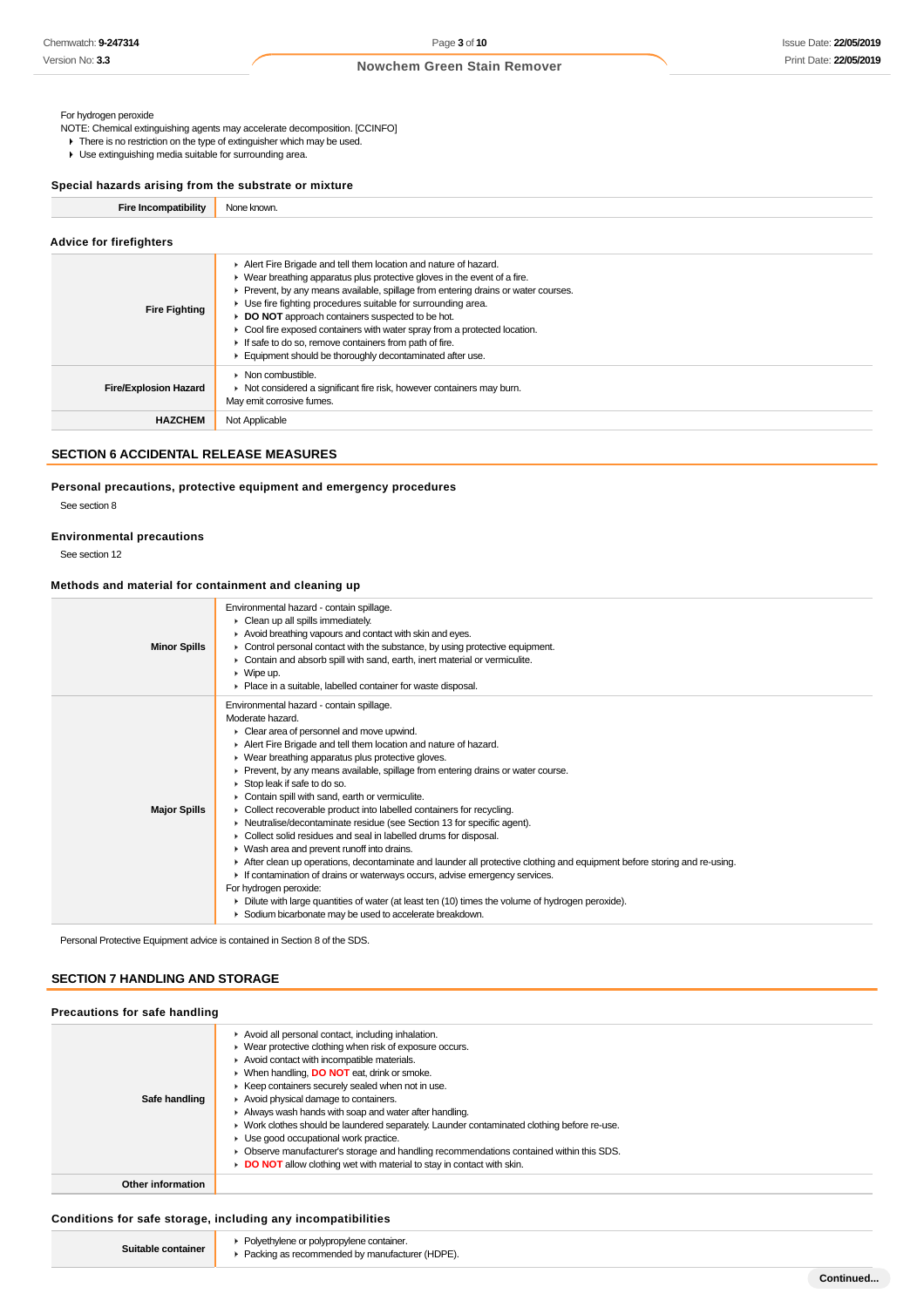#### For hydrogen peroxide

- NOTE: Chemical extinguishing agents may accelerate decomposition. [CCINFO]
- ▶ There is no restriction on the type of extinguisher which may be used.
- Use extinguishing media suitable for surrounding area.

### **Special hazards arising from the substrate or mixture**

**Fire Incompatibility** None known.

| <b>Advice for firefighters</b> |                                                                                                                                                                                                                                                                                                                                                                                                                                                                                                                                                                              |
|--------------------------------|------------------------------------------------------------------------------------------------------------------------------------------------------------------------------------------------------------------------------------------------------------------------------------------------------------------------------------------------------------------------------------------------------------------------------------------------------------------------------------------------------------------------------------------------------------------------------|
| <b>Fire Fighting</b>           | Alert Fire Brigade and tell them location and nature of hazard.<br>$\blacktriangleright$ Wear breathing apparatus plus protective gloves in the event of a fire.<br>Prevent, by any means available, spillage from entering drains or water courses.<br>▶ Use fire fighting procedures suitable for surrounding area.<br>DO NOT approach containers suspected to be hot.<br>► Cool fire exposed containers with water spray from a protected location.<br>If safe to do so, remove containers from path of fire.<br>Equipment should be thoroughly decontaminated after use. |
| <b>Fire/Explosion Hazard</b>   | $\triangleright$ Non combustible.<br>▶ Not considered a significant fire risk, however containers may burn.<br>May emit corrosive fumes.                                                                                                                                                                                                                                                                                                                                                                                                                                     |
| <b>HAZCHEM</b>                 | Not Applicable                                                                                                                                                                                                                                                                                                                                                                                                                                                                                                                                                               |

# **SECTION 6 ACCIDENTAL RELEASE MEASURES**

# **Personal precautions, protective equipment and emergency procedures**

See section 8

## **Environmental precautions**

See section 12

# **Methods and material for containment and cleaning up**

| <b>Minor Spills</b> | Environmental hazard - contain spillage.<br>• Clean up all spills immediately.<br>Avoid breathing vapours and contact with skin and eyes.<br>$\triangleright$ Control personal contact with the substance, by using protective equipment.<br>• Contain and absorb spill with sand, earth, inert material or vermiculite.<br>$\triangleright$ Wipe up.<br>• Place in a suitable, labelled container for waste disposal.                                                                                                                                                                                                                                                                                                                                                                                                                                                                                                                                                                                                                                                                               |
|---------------------|------------------------------------------------------------------------------------------------------------------------------------------------------------------------------------------------------------------------------------------------------------------------------------------------------------------------------------------------------------------------------------------------------------------------------------------------------------------------------------------------------------------------------------------------------------------------------------------------------------------------------------------------------------------------------------------------------------------------------------------------------------------------------------------------------------------------------------------------------------------------------------------------------------------------------------------------------------------------------------------------------------------------------------------------------------------------------------------------------|
| <b>Major Spills</b> | Environmental hazard - contain spillage.<br>Moderate hazard.<br>Clear area of personnel and move upwind.<br>Alert Fire Brigade and tell them location and nature of hazard.<br>• Wear breathing apparatus plus protective gloves.<br>• Prevent, by any means available, spillage from entering drains or water course.<br>$\triangleright$ Stop leak if safe to do so.<br>Contain spill with sand, earth or vermiculite.<br>• Collect recoverable product into labelled containers for recycling.<br>• Neutralise/decontaminate residue (see Section 13 for specific agent).<br>• Collect solid residues and seal in labelled drums for disposal.<br>▶ Wash area and prevent runoff into drains.<br>After clean up operations, decontaminate and launder all protective clothing and equipment before storing and re-using.<br>If contamination of drains or waterways occurs, advise emergency services.<br>For hydrogen peroxide:<br>• Dilute with large quantities of water (at least ten (10) times the volume of hydrogen peroxide).<br>Sodium bicarbonate may be used to accelerate breakdown. |

Personal Protective Equipment advice is contained in Section 8 of the SDS.

# **SECTION 7 HANDLING AND STORAGE**

| Precautions for safe handling |                                                                                                                                                                                                                                                                                                                                                                                                                                                                                                                                                                                                                                                                                         |
|-------------------------------|-----------------------------------------------------------------------------------------------------------------------------------------------------------------------------------------------------------------------------------------------------------------------------------------------------------------------------------------------------------------------------------------------------------------------------------------------------------------------------------------------------------------------------------------------------------------------------------------------------------------------------------------------------------------------------------------|
| Safe handling                 | Avoid all personal contact, including inhalation.<br>• Wear protective clothing when risk of exposure occurs.<br>Avoid contact with incompatible materials.<br>▶ When handling, <b>DO NOT</b> eat, drink or smoke.<br>▶ Keep containers securely sealed when not in use.<br>Avoid physical damage to containers.<br>Always wash hands with soap and water after handling.<br>• Work clothes should be laundered separately. Launder contaminated clothing before re-use.<br>• Use good occupational work practice.<br>• Observe manufacturer's storage and handling recommendations contained within this SDS.<br>DO NOT allow clothing wet with material to stay in contact with skin. |
| Other information             |                                                                                                                                                                                                                                                                                                                                                                                                                                                                                                                                                                                                                                                                                         |

#### **Conditions for safe storage, including any incompatibilities**

| container<br>:witable | Polyethylene or polypropylene container.<br>$r$ (HDPE).<br>a mmmended by manufacturer (H) |
|-----------------------|-------------------------------------------------------------------------------------------|
|-----------------------|-------------------------------------------------------------------------------------------|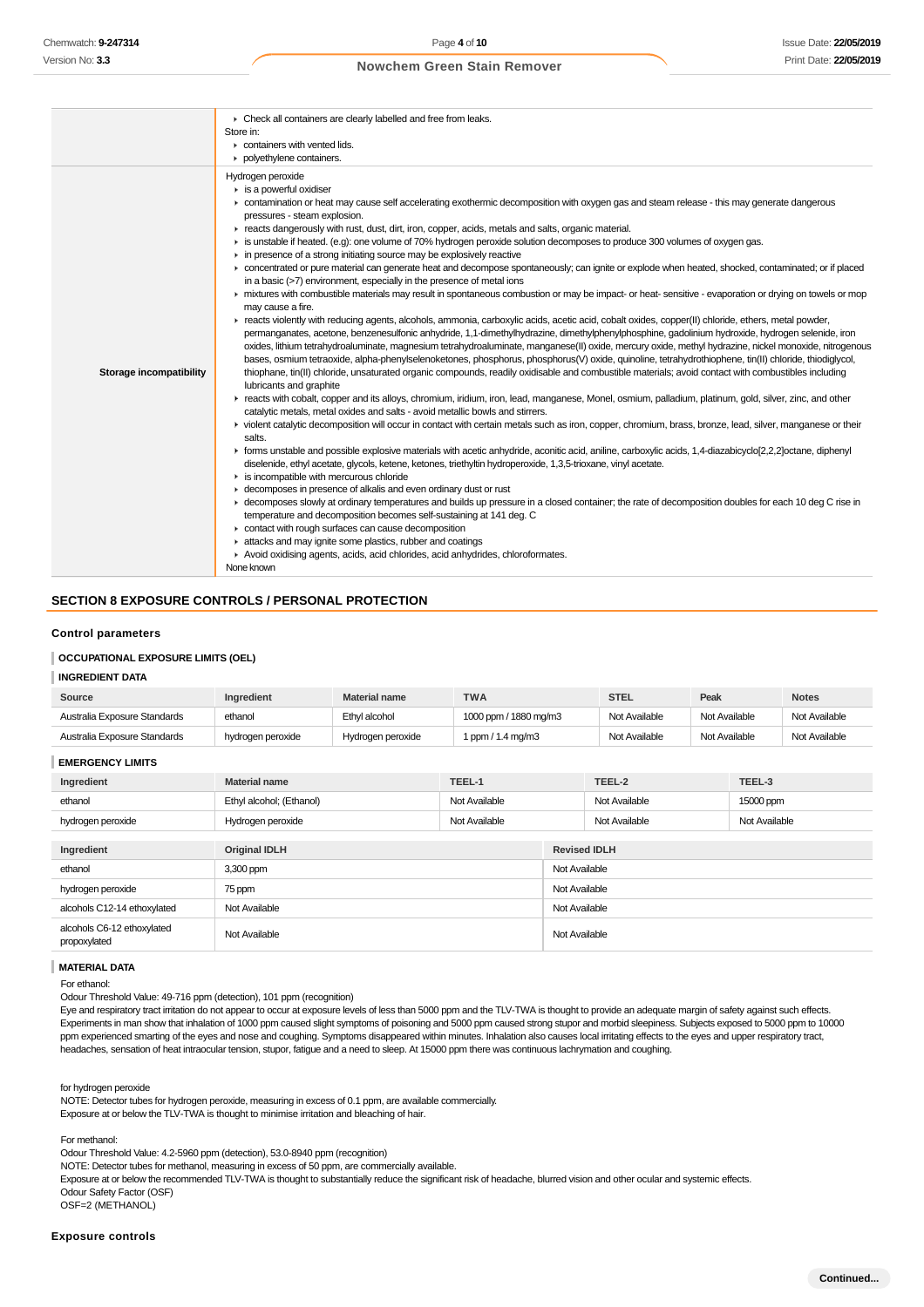|                                | • Check all containers are clearly labelled and free from leaks.<br>Store in:<br>containers with vented lids.<br>polyethylene containers.                                                                                                                                                                                                                                                                                                                                                                                                                                                                                                                                                                                                                                                                                                                                                                                                                                                                                                                                                                                                                                                                                                                                                                                                                                                                                                                                                                                                                                                                                                                                                                                                                                                                                                                                                                                                                                                                                                                                                                                                                                                                                                                                                                                                                                                                                                                                                                                                                                                                                                                                                                                                                                                                                                                                                                                                                                                                                                                                                    |
|--------------------------------|----------------------------------------------------------------------------------------------------------------------------------------------------------------------------------------------------------------------------------------------------------------------------------------------------------------------------------------------------------------------------------------------------------------------------------------------------------------------------------------------------------------------------------------------------------------------------------------------------------------------------------------------------------------------------------------------------------------------------------------------------------------------------------------------------------------------------------------------------------------------------------------------------------------------------------------------------------------------------------------------------------------------------------------------------------------------------------------------------------------------------------------------------------------------------------------------------------------------------------------------------------------------------------------------------------------------------------------------------------------------------------------------------------------------------------------------------------------------------------------------------------------------------------------------------------------------------------------------------------------------------------------------------------------------------------------------------------------------------------------------------------------------------------------------------------------------------------------------------------------------------------------------------------------------------------------------------------------------------------------------------------------------------------------------------------------------------------------------------------------------------------------------------------------------------------------------------------------------------------------------------------------------------------------------------------------------------------------------------------------------------------------------------------------------------------------------------------------------------------------------------------------------------------------------------------------------------------------------------------------------------------------------------------------------------------------------------------------------------------------------------------------------------------------------------------------------------------------------------------------------------------------------------------------------------------------------------------------------------------------------------------------------------------------------------------------------------------------------|
| <b>Storage incompatibility</b> | Hydrogen peroxide<br>$\triangleright$ is a powerful oxidiser<br>• contamination or heat may cause self accelerating exothermic decomposition with oxygen gas and steam release - this may generate dangerous<br>pressures - steam explosion.<br>Freacts dangerously with rust, dust, dirt, iron, copper, acids, metals and salts, organic material.<br>is unstable if heated. (e.g): one volume of 70% hydrogen peroxide solution decomposes to produce 300 volumes of oxygen gas.<br>in presence of a strong initiating source may be explosively reactive<br>► concentrated or pure material can generate heat and decompose spontaneously; can ignite or explode when heated, shocked, contaminated; or if placed<br>in a basic (>7) environment, especially in the presence of metal ions<br>In mixtures with combustible materials may result in spontaneous combustion or may be impact- or heat-sensitive - evaporation or drying on towels or mop<br>may cause a fire.<br>F reacts violently with reducing agents, alcohols, ammonia, carboxylic acids, acetic acid, cobalt oxides, copper(II) chloride, ethers, metal powder,<br>permanganates, acetone, benzenesulfonic anhydride, 1,1-dimethylhydrazine, dimethylphenylphosphine, gadolinium hydroxide, hydrogen selenide, iron<br>oxides, lithium tetrahydroaluminate, magnesium tetrahydroaluminate, manganese(II) oxide, mercury oxide, methyl hydrazine, nickel monoxide, nitrogenous<br>bases, osmium tetraoxide, alpha-phenylselenoketones, phosphorus, phosphorus(V) oxide, quinoline, tetrahydrothiophene, tin(II) chloride, thiodiglycol,<br>thiophane, tin(II) chloride, unsaturated organic compounds, readily oxidisable and combustible materials; avoid contact with combustibles including<br>lubricants and graphite<br>F reacts with cobalt, copper and its alloys, chromium, iridium, iron, lead, manganese, Monel, osmium, palladium, platinum, gold, silver, zinc, and other<br>catalytic metals, metal oxides and salts - avoid metallic bowls and stirrers.<br>ighthroatalytic decomposition will occur in contact with certain metals such as iron, copper, chromium, brass, bronze, lead, silver, manganese or their<br>salts.<br>F forms unstable and possible explosive materials with acetic anhydride, aconitic acid, aniline, carboxylic acids, 1,4-diazabicyclo[2,2,2]octane, diphenyl<br>diselenide, ethyl acetate, glycols, ketene, ketones, triethyltin hydroperoxide, 1,3,5-trioxane, vinyl acetate.<br>$\triangleright$ is incompatible with mercurous chloride<br>► decomposes in presence of alkalis and even ordinary dust or rust<br>E decomposes slowly at ordinary temperatures and builds up pressure in a closed container; the rate of decomposition doubles for each 10 deg C rise in<br>temperature and decomposition becomes self-sustaining at 141 deg. C<br>contact with rough surfaces can cause decomposition<br>in attacks and may ignite some plastics, rubber and coatings<br>Avoid oxidising agents, acids, acid chlorides, acid anhydrides, chloroformates.<br>None known |

## **SECTION 8 EXPOSURE CONTROLS / PERSONAL PROTECTION**

#### **Control parameters**

### **OCCUPATIONAL EXPOSURE LIMITS (OEL)**

# **INGREDIENT DATA**

| Source                       | Ingredient        | <b>Material name</b> | <b>TWA</b>            | <b>STEL</b>   | Peak          | <b>Notes</b>  |
|------------------------------|-------------------|----------------------|-----------------------|---------------|---------------|---------------|
| Australia Exposure Standards | ethanol           | Ethyl alcohol        | 1000 ppm / 1880 mg/m3 | Not Available | Not Available | Not Available |
| Australia Exposure Standards | hydrogen peroxide | Hydrogen peroxide    | 1 ppm / 1.4 mg/m3     | Not Available | Not Available | Not Available |

**EMERGENCY LIMITS**

| Ingredient                                 | <b>Material name</b>     | TEEL-1        |                     | TEEL-2        | TEEL-3        |  |
|--------------------------------------------|--------------------------|---------------|---------------------|---------------|---------------|--|
| ethanol                                    | Ethyl alcohol; (Ethanol) | Not Available |                     | Not Available | 15000 ppm     |  |
| hydrogen peroxide                          | Hydrogen peroxide        | Not Available |                     | Not Available | Not Available |  |
|                                            |                          |               |                     |               |               |  |
| Ingredient                                 | <b>Original IDLH</b>     |               | <b>Revised IDLH</b> |               |               |  |
| ethanol                                    | 3,300 ppm                |               | Not Available       |               |               |  |
| hydrogen peroxide                          | 75 ppm                   |               |                     | Not Available |               |  |
| alcohols C12-14 ethoxylated                | Not Available            |               | Not Available       |               |               |  |
| alcohols C6-12 ethoxylated<br>propoxylated | Not Available            |               | Not Available       |               |               |  |

#### **MATERIAL DATA**

For ethanol:

Odour Threshold Value: 49-716 ppm (detection), 101 ppm (recognition)

Eye and respiratory tract irritation do not appear to occur at exposure levels of less than 5000 ppm and the TLV-TWA is thought to provide an adequate margin of safety against such effects. Experiments in man show that inhalation of 1000 ppm caused slight symptoms of poisoning and 5000 ppm caused strong stupor and morbid sleepiness. Subjects exposed to 5000 ppm to 10000 ppm experienced smarting of the eyes and nose and coughing. Symptoms disappeared within minutes. Inhalation also causes local irritating effects to the eyes and upper respiratory tract, headaches, sensation of heat intraocular tension, stupor, fatigue and a need to sleep. At 15000 ppm there was continuous lachrymation and coughing.

for hydrogen peroxide

NOTE: Detector tubes for hydrogen peroxide, measuring in excess of 0.1 ppm, are available commercially. Exposure at or below the TLV-TWA is thought to minimise irritation and bleaching of hair.

For methanol:

Odour Threshold Value: 4.2-5960 ppm (detection), 53.0-8940 ppm (recognition)

NOTE: Detector tubes for methanol, measuring in excess of 50 ppm, are commercially available.

Exposure at or below the recommended TLV-TWA is thought to substantially reduce the significant risk of headache, blurred vision and other ocular and systemic effects.

Odour Safety Factor (OSF)

OSF=2 (METHANOL)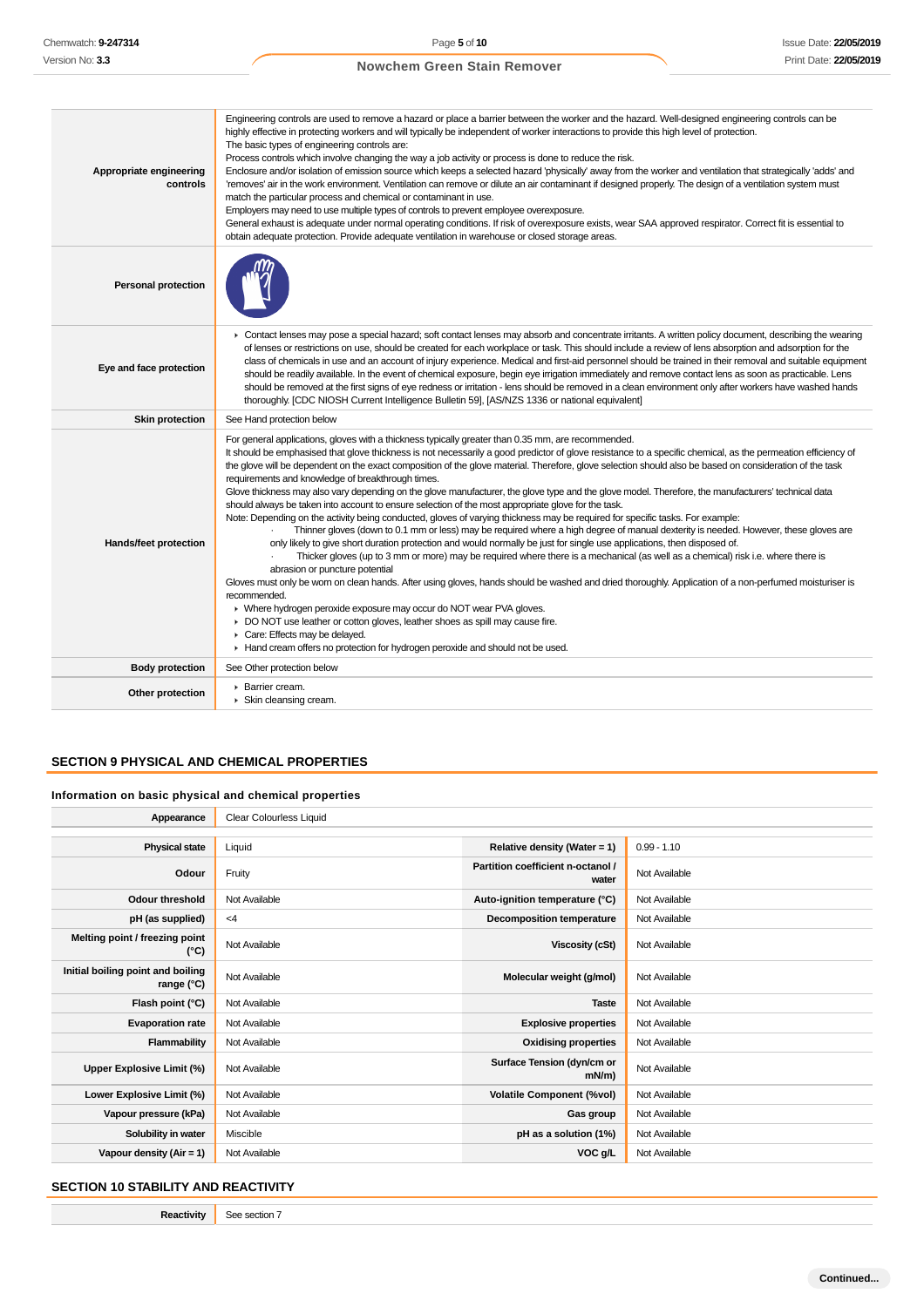| Appropriate engineering<br>controls | Engineering controls are used to remove a hazard or place a barrier between the worker and the hazard. Well-designed engineering controls can be<br>highly effective in protecting workers and will typically be independent of worker interactions to provide this high level of protection.<br>The basic types of engineering controls are:<br>Process controls which involve changing the way a job activity or process is done to reduce the risk.<br>Enclosure and/or isolation of emission source which keeps a selected hazard 'physically' away from the worker and ventilation that strategically 'adds' and<br>'removes' air in the work environment. Ventilation can remove or dilute an air contaminant if designed properly. The design of a ventilation system must<br>match the particular process and chemical or contaminant in use.<br>Employers may need to use multiple types of controls to prevent employee overexposure.<br>General exhaust is adequate under normal operating conditions. If risk of overexposure exists, wear SAA approved respirator. Correct fit is essential to<br>obtain adequate protection. Provide adequate ventilation in warehouse or closed storage areas.                                                                                                                                                                                                                                                                                                                                                                                                                                                |
|-------------------------------------|--------------------------------------------------------------------------------------------------------------------------------------------------------------------------------------------------------------------------------------------------------------------------------------------------------------------------------------------------------------------------------------------------------------------------------------------------------------------------------------------------------------------------------------------------------------------------------------------------------------------------------------------------------------------------------------------------------------------------------------------------------------------------------------------------------------------------------------------------------------------------------------------------------------------------------------------------------------------------------------------------------------------------------------------------------------------------------------------------------------------------------------------------------------------------------------------------------------------------------------------------------------------------------------------------------------------------------------------------------------------------------------------------------------------------------------------------------------------------------------------------------------------------------------------------------------------------------------------------------------------------------------------------------------|
| <b>Personal protection</b>          |                                                                                                                                                                                                                                                                                                                                                                                                                                                                                                                                                                                                                                                                                                                                                                                                                                                                                                                                                                                                                                                                                                                                                                                                                                                                                                                                                                                                                                                                                                                                                                                                                                                              |
| Eye and face protection             | ► Contact lenses may pose a special hazard; soft contact lenses may absorb and concentrate irritants. A written policy document, describing the wearing<br>of lenses or restrictions on use, should be created for each workplace or task. This should include a review of lens absorption and adsorption for the<br>class of chemicals in use and an account of injury experience. Medical and first-aid personnel should be trained in their removal and suitable equipment<br>should be readily available. In the event of chemical exposure, begin eye irrigation immediately and remove contact lens as soon as practicable. Lens<br>should be removed at the first signs of eye redness or irritation - lens should be removed in a clean environment only after workers have washed hands<br>thoroughly. [CDC NIOSH Current Intelligence Bulletin 59], [AS/NZS 1336 or national equivalent]                                                                                                                                                                                                                                                                                                                                                                                                                                                                                                                                                                                                                                                                                                                                                           |
| <b>Skin protection</b>              | See Hand protection below                                                                                                                                                                                                                                                                                                                                                                                                                                                                                                                                                                                                                                                                                                                                                                                                                                                                                                                                                                                                                                                                                                                                                                                                                                                                                                                                                                                                                                                                                                                                                                                                                                    |
| Hands/feet protection               | For general applications, gloves with a thickness typically greater than 0.35 mm, are recommended.<br>It should be emphasised that glove thickness is not necessarily a good predictor of glove resistance to a specific chemical, as the permeation efficiency of<br>the glove will be dependent on the exact composition of the glove material. Therefore, glove selection should also be based on consideration of the task<br>requirements and knowledge of breakthrough times.<br>Glove thickness may also vary depending on the glove manufacturer, the glove type and the glove model. Therefore, the manufacturers' technical data<br>should always be taken into account to ensure selection of the most appropriate glove for the task.<br>Note: Depending on the activity being conducted, gloves of varying thickness may be required for specific tasks. For example:<br>Thinner gloves (down to 0.1 mm or less) may be required where a high degree of manual dexterity is needed. However, these gloves are<br>only likely to give short duration protection and would normally be just for single use applications, then disposed of.<br>Thicker gloves (up to 3 mm or more) may be required where there is a mechanical (as well as a chemical) risk i.e. where there is<br>abrasion or puncture potential<br>Gloves must only be worn on clean hands. After using gloves, hands should be washed and dried thoroughly. Application of a non-perfumed moisturiser is<br>recommended.<br>• Where hydrogen peroxide exposure may occur do NOT wear PVA gloves.<br>DO NOT use leather or cotton gloves, leather shoes as spill may cause fire. |
|                                     | Care: Effects may be delayed.<br>Hand cream offers no protection for hydrogen peroxide and should not be used.                                                                                                                                                                                                                                                                                                                                                                                                                                                                                                                                                                                                                                                                                                                                                                                                                                                                                                                                                                                                                                                                                                                                                                                                                                                                                                                                                                                                                                                                                                                                               |
| <b>Body protection</b>              | See Other protection below                                                                                                                                                                                                                                                                                                                                                                                                                                                                                                                                                                                                                                                                                                                                                                                                                                                                                                                                                                                                                                                                                                                                                                                                                                                                                                                                                                                                                                                                                                                                                                                                                                   |

# **SECTION 9 PHYSICAL AND CHEMICAL PROPERTIES**

# **Information on basic physical and chemical properties**

| Appearance                                      | <b>Clear Colourless Liquid</b> |                                            |               |
|-------------------------------------------------|--------------------------------|--------------------------------------------|---------------|
|                                                 |                                |                                            |               |
| <b>Physical state</b>                           | Liquid                         | Relative density (Water = $1$ )            | $0.99 - 1.10$ |
| Odour                                           | Fruity                         | Partition coefficient n-octanol /<br>water | Not Available |
| <b>Odour threshold</b>                          | Not Available                  | Auto-ignition temperature (°C)             | Not Available |
| pH (as supplied)                                | $<$ 4                          | <b>Decomposition temperature</b>           | Not Available |
| Melting point / freezing point<br>(°C)          | Not Available                  | Viscosity (cSt)                            | Not Available |
| Initial boiling point and boiling<br>range (°C) | Not Available                  | Molecular weight (g/mol)                   | Not Available |
| Flash point (°C)                                | Not Available                  | <b>Taste</b>                               | Not Available |
| <b>Evaporation rate</b>                         | Not Available                  | <b>Explosive properties</b>                | Not Available |
| Flammability                                    | Not Available                  | <b>Oxidising properties</b>                | Not Available |
| Upper Explosive Limit (%)                       | Not Available                  | Surface Tension (dyn/cm or<br>mN/m)        | Not Available |
| Lower Explosive Limit (%)                       | Not Available                  | <b>Volatile Component (%vol)</b>           | Not Available |
| Vapour pressure (kPa)                           | Not Available                  | Gas group                                  | Not Available |
| Solubility in water                             | Miscible                       | pH as a solution (1%)                      | Not Available |
| Vapour density $(Air = 1)$                      | Not Available                  | VOC g/L                                    | Not Available |

# **SECTION 10 STABILITY AND REACTIVITY**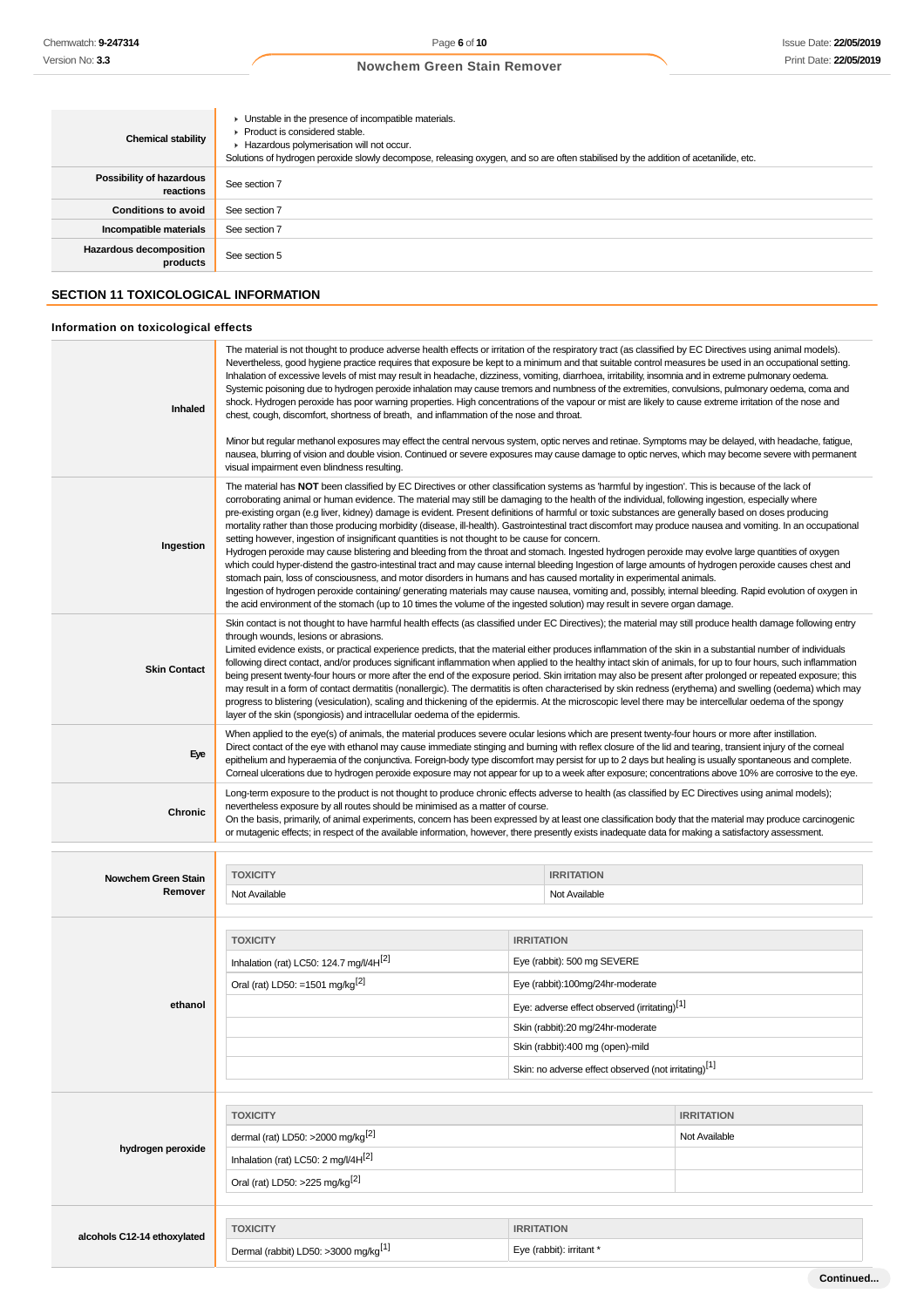| <b>Chemical stability</b>                  | • Unstable in the presence of incompatible materials.<br>▶ Product is considered stable.<br>Hazardous polymerisation will not occur.<br>Solutions of hydrogen peroxide slowly decompose, releasing oxygen, and so are often stabilised by the addition of acetanilide, etc. |
|--------------------------------------------|-----------------------------------------------------------------------------------------------------------------------------------------------------------------------------------------------------------------------------------------------------------------------------|
| Possibility of hazardous<br>reactions      | See section 7                                                                                                                                                                                                                                                               |
| <b>Conditions to avoid</b>                 | See section 7                                                                                                                                                                                                                                                               |
| Incompatible materials                     | See section 7                                                                                                                                                                                                                                                               |
| <b>Hazardous decomposition</b><br>products | See section 5                                                                                                                                                                                                                                                               |

# **SECTION 11 TOXICOLOGICAL INFORMATION**

# **Information on toxicological effects**

| Inhaled                        | The material is not thought to produce adverse health effects or irritation of the respiratory tract (as classified by EC Directives using animal models).<br>Nevertheless, good hygiene practice requires that exposure be kept to a minimum and that suitable control measures be used in an occupational setting.<br>Inhalation of excessive levels of mist may result in headache, dizziness, vomiting, diarrhoea, irritability, insomnia and in extreme pulmonary oedema.<br>Systemic poisoning due to hydrogen peroxide inhalation may cause tremors and numbness of the extremities, convulsions, pulmonary oedema, coma and<br>shock. Hydrogen peroxide has poor warning properties. High concentrations of the vapour or mist are likely to cause extreme irritation of the nose and<br>chest, cough, discomfort, shortness of breath, and inflammation of the nose and throat.<br>Minor but regular methanol exposures may effect the central nervous system, optic nerves and retinae. Symptoms may be delayed, with headache, fatigue,<br>nausea, blurring of vision and double vision. Continued or severe exposures may cause damage to optic nerves, which may become severe with permanent                                                                                                                                                                                                                                                                                                      |                                                                                                                                                                                                                                                                                   |                                    |  |
|--------------------------------|-----------------------------------------------------------------------------------------------------------------------------------------------------------------------------------------------------------------------------------------------------------------------------------------------------------------------------------------------------------------------------------------------------------------------------------------------------------------------------------------------------------------------------------------------------------------------------------------------------------------------------------------------------------------------------------------------------------------------------------------------------------------------------------------------------------------------------------------------------------------------------------------------------------------------------------------------------------------------------------------------------------------------------------------------------------------------------------------------------------------------------------------------------------------------------------------------------------------------------------------------------------------------------------------------------------------------------------------------------------------------------------------------------------------------------------------------------------------------------------------------------------------|-----------------------------------------------------------------------------------------------------------------------------------------------------------------------------------------------------------------------------------------------------------------------------------|------------------------------------|--|
| Ingestion                      | visual impairment even blindness resulting.<br>The material has NOT been classified by EC Directives or other classification systems as 'harmful by ingestion'. This is because of the lack of<br>corroborating animal or human evidence. The material may still be damaging to the health of the individual, following ingestion, especially where<br>pre-existing organ (e.g liver, kidney) damage is evident. Present definitions of harmful or toxic substances are generally based on doses producing<br>mortality rather than those producing morbidity (disease, ill-health). Gastrointestinal tract discomfort may produce nausea and vomiting. In an occupational<br>setting however, ingestion of insignificant quantities is not thought to be cause for concern.<br>Hydrogen peroxide may cause blistering and bleeding from the throat and stomach. Ingested hydrogen peroxide may evolve large quantities of oxygen<br>which could hyper-distend the gastro-intestinal tract and may cause internal bleeding Ingestion of large amounts of hydrogen peroxide causes chest and<br>stomach pain, loss of consciousness, and motor disorders in humans and has caused mortality in experimental animals.<br>Ingestion of hydrogen peroxide containing/ generating materials may cause nausea, vomiting and, possibly, internal bleeding. Rapid evolution of oxygen in<br>the acid environment of the stomach (up to 10 times the volume of the ingested solution) may result in severe organ damage. |                                                                                                                                                                                                                                                                                   |                                    |  |
| <b>Skin Contact</b>            | Skin contact is not thought to have harmful health effects (as classified under EC Directives); the material may still produce health damage following entry<br>through wounds, lesions or abrasions.<br>Limited evidence exists, or practical experience predicts, that the material either produces inflammation of the skin in a substantial number of individuals<br>following direct contact, and/or produces significant inflammation when applied to the healthy intact skin of animals, for up to four hours, such inflammation<br>being present twenty-four hours or more after the end of the exposure period. Skin irritation may also be present after prolonged or repeated exposure; this<br>may result in a form of contact dermatitis (nonallergic). The dermatitis is often characterised by skin redness (erythema) and swelling (oedema) which may<br>progress to blistering (vesiculation), scaling and thickening of the epidermis. At the microscopic level there may be intercellular oedema of the spongy<br>layer of the skin (spongiosis) and intracellular oedema of the epidermis.                                                                                                                                                                                                                                                                                                                                                                                                  |                                                                                                                                                                                                                                                                                   |                                    |  |
| Eye                            | When applied to the eye(s) of animals, the material produces severe ocular lesions which are present twenty-four hours or more after instillation.<br>Direct contact of the eye with ethanol may cause immediate stinging and burning with reflex closure of the lid and tearing, transient injury of the corneal<br>epithelium and hyperaemia of the conjunctiva. Foreign-body type discomfort may persist for up to 2 days but healing is usually spontaneous and complete.<br>Corneal ulcerations due to hydrogen peroxide exposure may not appear for up to a week after exposure; concentrations above 10% are corrosive to the eye.                                                                                                                                                                                                                                                                                                                                                                                                                                                                                                                                                                                                                                                                                                                                                                                                                                                                       |                                                                                                                                                                                                                                                                                   |                                    |  |
| Chronic                        | Long-term exposure to the product is not thought to produce chronic effects adverse to health (as classified by EC Directives using animal models);<br>nevertheless exposure by all routes should be minimised as a matter of course.<br>On the basis, primarily, of animal experiments, concern has been expressed by at least one classification body that the material may produce carcinogenic<br>or mutagenic effects; in respect of the available information, however, there presently exists inadequate data for making a satisfactory assessment.                                                                                                                                                                                                                                                                                                                                                                                                                                                                                                                                                                                                                                                                                                                                                                                                                                                                                                                                                      |                                                                                                                                                                                                                                                                                   |                                    |  |
| Nowchem Green Stain<br>Remover | <b>TOXICITY</b><br>Not Available                                                                                                                                                                                                                                                                                                                                                                                                                                                                                                                                                                                                                                                                                                                                                                                                                                                                                                                                                                                                                                                                                                                                                                                                                                                                                                                                                                                                                                                                                | <b>IRRITATION</b><br>Not Available                                                                                                                                                                                                                                                |                                    |  |
| ethanol                        | <b>TOXICITY</b><br>Inhalation (rat) LC50: 124.7 mg/l/4H <sup>[2]</sup><br>Oral (rat) LD50: =1501 mg/kg <sup>[2]</sup>                                                                                                                                                                                                                                                                                                                                                                                                                                                                                                                                                                                                                                                                                                                                                                                                                                                                                                                                                                                                                                                                                                                                                                                                                                                                                                                                                                                           | <b>IRRITATION</b><br>Eye (rabbit): 500 mg SEVERE<br>Eye (rabbit):100mg/24hr-moderate<br>Eye: adverse effect observed (irritating)[1]<br>Skin (rabbit):20 mg/24hr-moderate<br>Skin (rabbit):400 mg (open)-mild<br>Skin: no adverse effect observed (not irritating) <sup>[1]</sup> |                                    |  |
| hydrogen peroxide              | <b>TOXICITY</b><br>dermal (rat) LD50: >2000 mg/kg <sup>[2]</sup><br>Inhalation (rat) LC50: 2 mg/l/4H <sup>[2]</sup><br>Oral (rat) LD50: >225 mg/kg <sup>[2]</sup>                                                                                                                                                                                                                                                                                                                                                                                                                                                                                                                                                                                                                                                                                                                                                                                                                                                                                                                                                                                                                                                                                                                                                                                                                                                                                                                                               |                                                                                                                                                                                                                                                                                   | <b>IRRITATION</b><br>Not Available |  |
| alcohols C12-14 ethoxylated    | <b>TOXICITY</b><br>Dermal (rabbit) LD50: >3000 mg/kg <sup>[1]</sup>                                                                                                                                                                                                                                                                                                                                                                                                                                                                                                                                                                                                                                                                                                                                                                                                                                                                                                                                                                                                                                                                                                                                                                                                                                                                                                                                                                                                                                             | <b>IRRITATION</b><br>Eye (rabbit): irritant *                                                                                                                                                                                                                                     |                                    |  |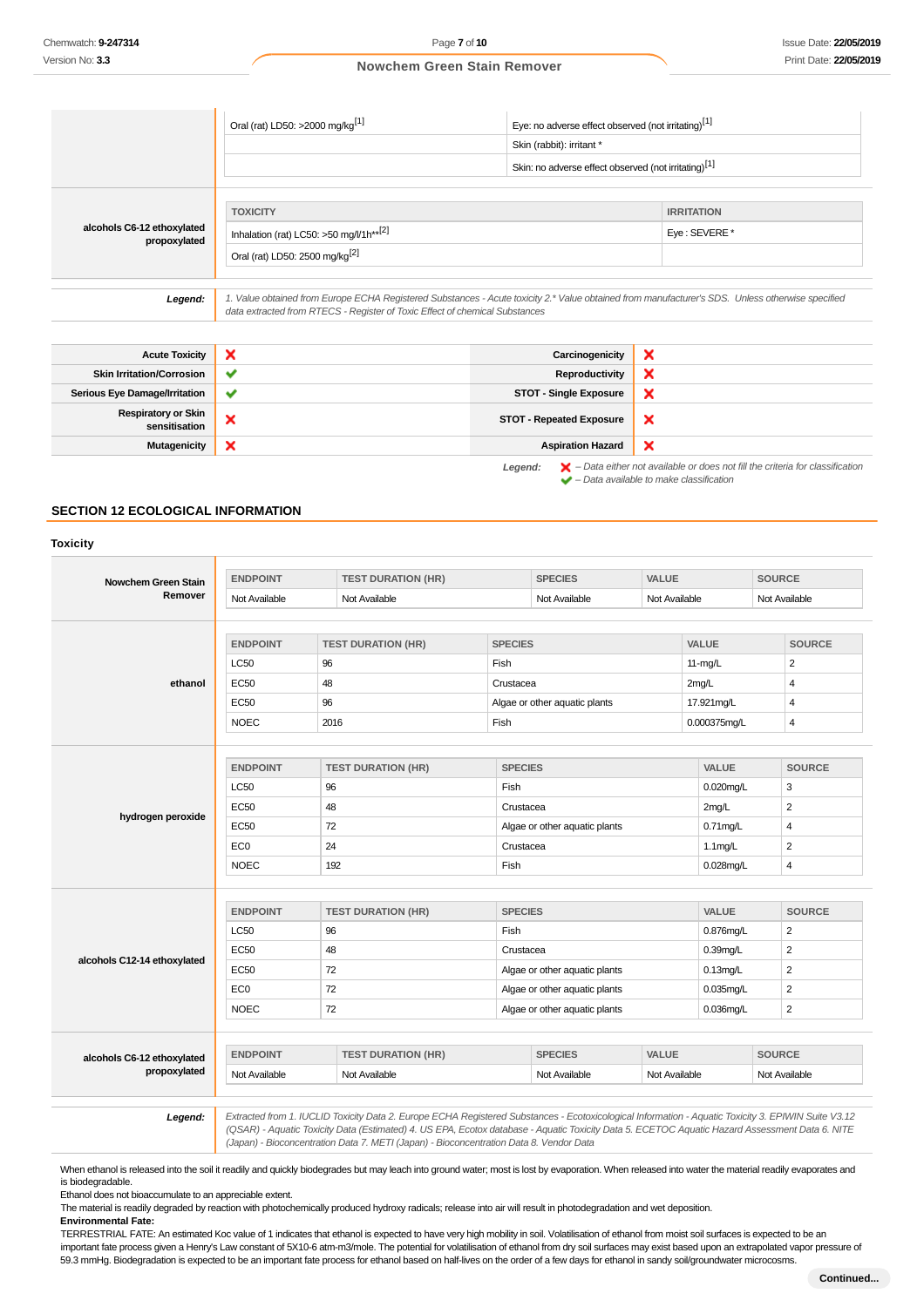**Legend:**  $\mathbf{X}$  – Data either not available or does not fill the criteria for classification<br>  $\mathbf{A}$  – Data available to make closelies time – Data available to make classification

 $\boldsymbol{\mathsf{x}}$ 

## **Nowchem Green Stain Remover**

|                                             | Oral (rat) LD50: >2000 mg/kg <sup>[1]</sup>                                                                                                                                                                                     | Eye: no adverse effect observed (not irritating)[1]              |                   |  |
|---------------------------------------------|---------------------------------------------------------------------------------------------------------------------------------------------------------------------------------------------------------------------------------|------------------------------------------------------------------|-------------------|--|
|                                             |                                                                                                                                                                                                                                 | Skin (rabbit): irritant *                                        |                   |  |
|                                             |                                                                                                                                                                                                                                 | Skin: no adverse effect observed (not irritating) <sup>[1]</sup> |                   |  |
|                                             | <b>TOXICITY</b>                                                                                                                                                                                                                 |                                                                  | <b>IRRITATION</b> |  |
| alcohols C6-12 ethoxylated<br>propoxylated  | Inhalation (rat) LC50: >50 mg/l/1h**[2]                                                                                                                                                                                         | Eye: SEVERE *                                                    |                   |  |
|                                             | Oral (rat) LD50: 2500 mg/kg <sup>[2]</sup>                                                                                                                                                                                      |                                                                  |                   |  |
| Legend:                                     | 1. Value obtained from Europe ECHA Registered Substances - Acute toxicity 2.* Value obtained from manufacturer's SDS. Unless otherwise specified<br>data extracted from RTECS - Register of Toxic Effect of chemical Substances |                                                                  |                   |  |
|                                             |                                                                                                                                                                                                                                 |                                                                  |                   |  |
| <b>Acute Toxicity</b>                       | $\boldsymbol{\mathsf{x}}$                                                                                                                                                                                                       | Carcinogenicity                                                  | ×                 |  |
| <b>Skin Irritation/Corrosion</b>            | ✔                                                                                                                                                                                                                               | Reproductivity                                                   | ×                 |  |
| <b>Serious Eye Damage/Irritation</b>        | ✔                                                                                                                                                                                                                               | <b>STOT - Single Exposure</b>                                    | ×                 |  |
| <b>Respiratory or Skin</b><br>sensitisation | ×                                                                                                                                                                                                                               | <b>STOT - Repeated Exposure</b>                                  | ×                 |  |

**Mutagenicity X Aspiration Hazard** 

# **SECTION 12 ECOLOGICAL INFORMATION**

| Nowchem Green Stain                        | <b>ENDPOINT</b> | <b>TEST DURATION (HR)</b> |                | <b>SPECIES</b>                 | <b>VALUE</b>  |              | <b>SOURCE</b>  |  |
|--------------------------------------------|-----------------|---------------------------|----------------|--------------------------------|---------------|--------------|----------------|--|
| Remover                                    | Not Available   | Not Available             |                | Not Available<br>Not Available |               |              | Not Available  |  |
|                                            | <b>ENDPOINT</b> | <b>TEST DURATION (HR)</b> | <b>SPECIES</b> |                                |               | VALUE        | <b>SOURCE</b>  |  |
|                                            | <b>LC50</b>     | 96                        | Fish           |                                |               | $11-mg/L$    | $\overline{2}$ |  |
| ethanol                                    | <b>EC50</b>     | 48                        | Crustacea      |                                |               | 2mg/L        | 4              |  |
|                                            | EC50            | 96                        |                | Algae or other aquatic plants  |               | 17.921mg/L   | 4              |  |
|                                            | <b>NOEC</b>     | 2016                      | Fish           |                                |               | 0.000375mg/L | 4              |  |
|                                            |                 |                           |                |                                |               |              |                |  |
|                                            | <b>ENDPOINT</b> | <b>TEST DURATION (HR)</b> |                | <b>SPECIES</b>                 |               | VALUE        | <b>SOURCE</b>  |  |
|                                            | <b>LC50</b>     | 96                        | Fish           |                                |               | $0.020$ mg/L | 3              |  |
|                                            | <b>EC50</b>     | 48                        |                | Crustacea                      |               | 2mg/L        | $\overline{2}$ |  |
| hydrogen peroxide                          | <b>EC50</b>     | 72                        |                | Algae or other aquatic plants  |               | $0.71$ mg/L  | 4              |  |
|                                            | EC <sub>0</sub> | 24                        |                | Crustacea                      |               | $1.1$ mg/L   | $\overline{2}$ |  |
|                                            | <b>NOEC</b>     | 192                       | Fish           |                                |               | $0.028$ mg/L | 4              |  |
|                                            |                 |                           |                |                                |               |              |                |  |
|                                            | <b>ENDPOINT</b> | <b>TEST DURATION (HR)</b> |                | <b>SPECIES</b>                 |               | <b>VALUE</b> | <b>SOURCE</b>  |  |
|                                            | <b>LC50</b>     | 96                        | Fish           |                                |               | 0.876mg/L    | 2              |  |
|                                            | <b>EC50</b>     | 48                        |                | Crustacea                      |               | $0.39$ mg/L  | $\overline{2}$ |  |
| alcohols C12-14 ethoxylated                | <b>EC50</b>     | 72                        |                | Algae or other aquatic plants  |               | $0.13$ mg/L  | $\overline{2}$ |  |
|                                            | EC <sub>0</sub> | 72                        |                | Algae or other aquatic plants  |               | 0.035mg/L    | $\overline{2}$ |  |
|                                            | <b>NOEC</b>     | 72                        |                | Algae or other aquatic plants  |               | 0.036mg/L    | $\overline{2}$ |  |
|                                            |                 |                           |                |                                |               |              |                |  |
| alcohols C6-12 ethoxylated<br>propoxylated | <b>ENDPOINT</b> | <b>TEST DURATION (HR)</b> |                | <b>SPECIES</b>                 | <b>VALUE</b>  |              | <b>SOURCE</b>  |  |
|                                            | Not Available   | Not Available             |                | Not Available                  | Not Available |              | Not Available  |  |

(Japan) - Bioconcentration Data 7. METI (Japan) - Bioconcentration Data 8. Vendor Data

When ethanol is released into the soil it readily and quickly biodegrades but may leach into ground water; most is lost by evaporation. When released into water the material readily evaporates and is biodegradable.

Ethanol does not bioaccumulate to an appreciable extent.

The material is readily degraded by reaction with photochemically produced hydroxy radicals; release into air will result in photodegradation and wet deposition.

**Environmental Fate:**

TERRESTRIAL FATE: An estimated Koc value of 1 indicates that ethanol is expected to have very high mobility in soil. Volatilisation of ethanol from moist soil surfaces is expected to be an important fate process given a Henry's Law constant of 5X10-6 atm-m3/mole. The potential for volatilisation of ethanol from dry soil surfaces may exist based upon an extrapolated vapor pressure of 59.3 mmHg. Biodegradation is expected to be an important fate process for ethanol based on half-lives on the order of a few days for ethanol in sandy soil/groundwater microcosms.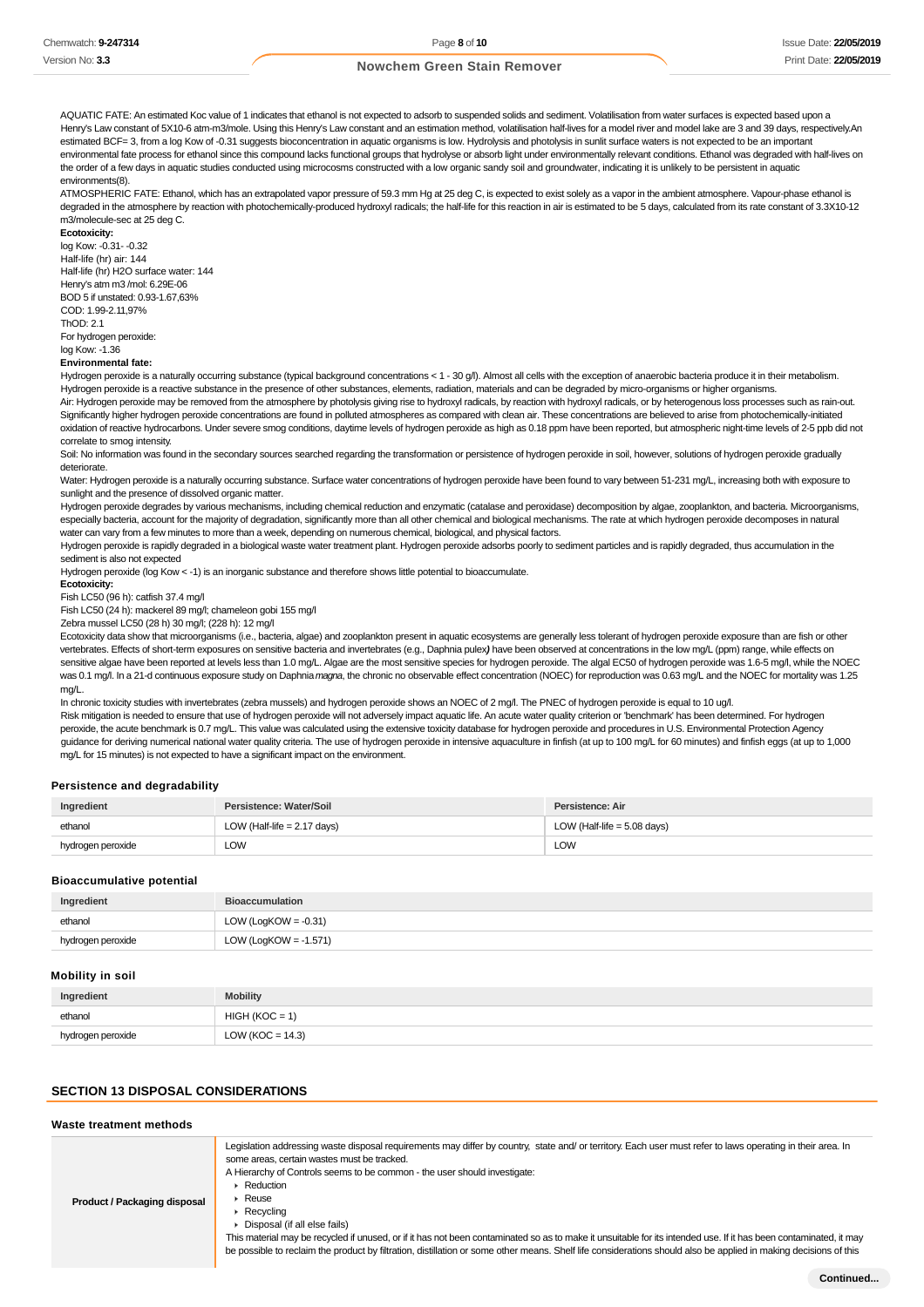AQUATIC FATE: An estimated Koc value of 1 indicates that ethanol is not expected to adsorb to suspended solids and sediment. Volatilisation from water surfaces is expected based upon a Henry's Law constant of 5X10-6 atm-m3/mole. Using this Henry's Law constant and an estimation method, volatilisation half-lives for a model river and model lake are 3 and 39 days, respectively.An estimated BCF= 3, from a log Kow of -0.31 suggests bioconcentration in aquatic organisms is low. Hydrolysis and photolysis in sunlit surface waters is not expected to be an important environmental fate process for ethanol since this compound lacks functional groups that hydrolyse or absorb light under environmentally relevant conditions. Ethanol was degraded with half-lives on the order of a few days in aquatic studies conducted using microcosms constructed with a low organic sandy soil and groundwater, indicating it is unlikely to be persistent in aquatic environments(8).

ATMOSPHERIC FATE: Ethanol, which has an extrapolated vapor pressure of 59.3 mm Hg at 25 deg C, is expected to exist solely as a vapor in the ambient atmosphere. Vapour-phase ethanol is degraded in the atmosphere by reaction with photochemically-produced hydroxyl radicals; the half-life for this reaction in air is estimated to be 5 days, calculated from its rate constant of 3.3X10-12 m3/molecule-sec at 25 deg C.

**Ecotoxicity:** log Kow: -0.31- -0.32 Half-life (hr) air: 144 Half-life (hr) H2O surface water: 144 Henry's atm m3 /mol: 6.29E-06 BOD 5 if unstated: 0.93-1.67,63% COD: 1.99-2.11,97%  $ThOD: 2.1$ For hydrogen peroxide:

#### log Kow: -1.36

### **Environmental fate:**

Hydrogen peroxide is a naturally occurring substance (typical background concentrations < 1 - 30 g/l). Almost all cells with the exception of anaerobic bacteria produce it in their metabolism. Hydrogen peroxide is a reactive substance in the presence of other substances, elements, radiation, materials and can be degraded by micro-organisms or higher organisms.

Air: Hydrogen peroxide may be removed from the atmosphere by photolysis giving rise to hydroxyl radicals, by reaction with hydroxyl radicals, or by heterogenous loss processes such as rain-out. Significantly higher hydrogen peroxide concentrations are found in polluted atmospheres as compared with clean air. These concentrations are believed to arise from photochemically-initiated oxidation of reactive hydrocarbons. Under severe smog conditions, daytime levels of hydrogen peroxide as high as 0.18 ppm have been reported, but atmospheric night-time levels of 2-5 ppb did not correlate to smog intensity.

Soil: No information was found in the secondary sources searched regarding the transformation or persistence of hydrogen peroxide in soil, however, solutions of hydrogen peroxide gradually deteriorate.

Water: Hydrogen peroxide is a naturally occurring substance. Surface water concentrations of hydrogen peroxide have been found to vary between 51-231 mg/L, increasing both with exposure to sunlight and the presence of dissolved organic matter.

Hydrogen peroxide degrades by various mechanisms, including chemical reduction and enzymatic (catalase and peroxidase) decomposition by algae, zooplankton, and bacteria. Microorganisms, especially bacteria, account for the majority of degradation, significantly more than all other chemical and biological mechanisms. The rate at which hydrogen peroxide decomposes in natural water can vary from a few minutes to more than a week, depending on numerous chemical, biological, and physical factors.

Hydrogen peroxide is rapidly degraded in a biological waste water treatment plant. Hydrogen peroxide adsorbs poorly to sediment particles and is rapidly degraded, thus accumulation in the sediment is also not expected

Hydrogen peroxide (log Kow < -1) is an inorganic substance and therefore shows little potential to bioaccumulate.

## **Ecotoxicity:**

Fish LC50 (96 h): catfish 37.4 mg/l

Fish LC50 (24 h): mackerel 89 mg/l; chameleon gobi 155 mg/l

Zebra mussel LC50 (28 h) 30 mg/l; (228 h): 12 mg/l

Ecotoxicity data show that microorganisms (i.e., bacteria, algae) and zooplankton present in aquatic ecosystems are generally less tolerant of hydrogen peroxide exposure than are fish or other vertebrates. Effects of short-term exposures on sensitive bacteria and invertebrates (e.g., Daphnia pulex**)** have been observed at concentrations in the low mg/L (ppm) range, while effects on sensitive algae have been reported at levels less than 1.0 mg/L. Algae are the most sensitive species for hydrogen peroxide. The algal EC50 of hydrogen peroxide was 1.6-5 mg/l, while the NOEC was 0.1 mg/l. In a 21-d continuous exposure study on Daphnia magna, the chronic no observable effect concentration (NOEC) for reproduction was 0.63 mg/L and the NOEC for mortality was 1.25 mg/L.

In chronic toxicity studies with invertebrates (zebra mussels) and hydrogen peroxide shows an NOEC of 2 mg/l. The PNEC of hydrogen peroxide is equal to 10 ug/l. Risk mitigation is needed to ensure that use of hydrogen peroxide will not adversely impact aquatic life. An acute water quality criterion or 'benchmark' has been determined. For hydrogen peroxide, the acute benchmark is 0.7 mg/L. This value was calculated using the extensive toxicity database for hydrogen peroxide and procedures in U.S. Environmental Protection Agency quidance for deriving numerical national water quality criteria. The use of hydrogen peroxide in intensive aquaculture in finfish (at up to 100 mg/L for 60 minutes) and finfish eggs (at up to 1,000  $mg/L$  for 15 minutes) is not expected to have a significant impact on the environment.

#### **Persistence and degradability**

| Ingredient        | Persistence: Water/Soil       | Persistence: Air              |
|-------------------|-------------------------------|-------------------------------|
| ethanol           | LOW (Half-life $= 2.17$ days) | LOW (Half-life $= 5.08$ days) |
| hydrogen peroxide | LOW                           | <b>LOW</b>                    |

#### **Bioaccumulative potential**

| Ingredient        | <b>Bioaccumulation</b>   |
|-------------------|--------------------------|
| ethanol           | LOW (LogKOW = $-0.31$ )  |
| hydrogen peroxide | LOW (LogKOW = $-1.571$ ) |

#### **Mobility in soil**

| Ingredient        | <b>Mobility</b>      |
|-------------------|----------------------|
| ethanol           | $HIGH (KOC = 1)$     |
| hydrogen peroxide | LOW ( $KOC = 14.3$ ) |

#### **SECTION 13 DISPOSAL CONSIDERATIONS**

| Waste treatment methods      |                                                                                                                                                                                                                                                                                                                                                                                                                                                                                                                                                                                                                                                                                                                                         |
|------------------------------|-----------------------------------------------------------------------------------------------------------------------------------------------------------------------------------------------------------------------------------------------------------------------------------------------------------------------------------------------------------------------------------------------------------------------------------------------------------------------------------------------------------------------------------------------------------------------------------------------------------------------------------------------------------------------------------------------------------------------------------------|
| Product / Packaging disposal | Legislation addressing waste disposal requirements may differ by country, state and/ or territory. Each user must refer to laws operating in their area. In<br>some areas, certain wastes must be tracked.<br>A Hierarchy of Controls seems to be common - the user should investigate:<br>Reduction<br>$\triangleright$ Reuse<br>$\triangleright$ Recycling<br>• Disposal (if all else fails)<br>This material may be recycled if unused, or if it has not been contaminated so as to make it unsuitable for its intended use. If it has been contaminated, it may<br>be possible to reclaim the product by filtration, distillation or some other means. Shelf life considerations should also be applied in making decisions of this |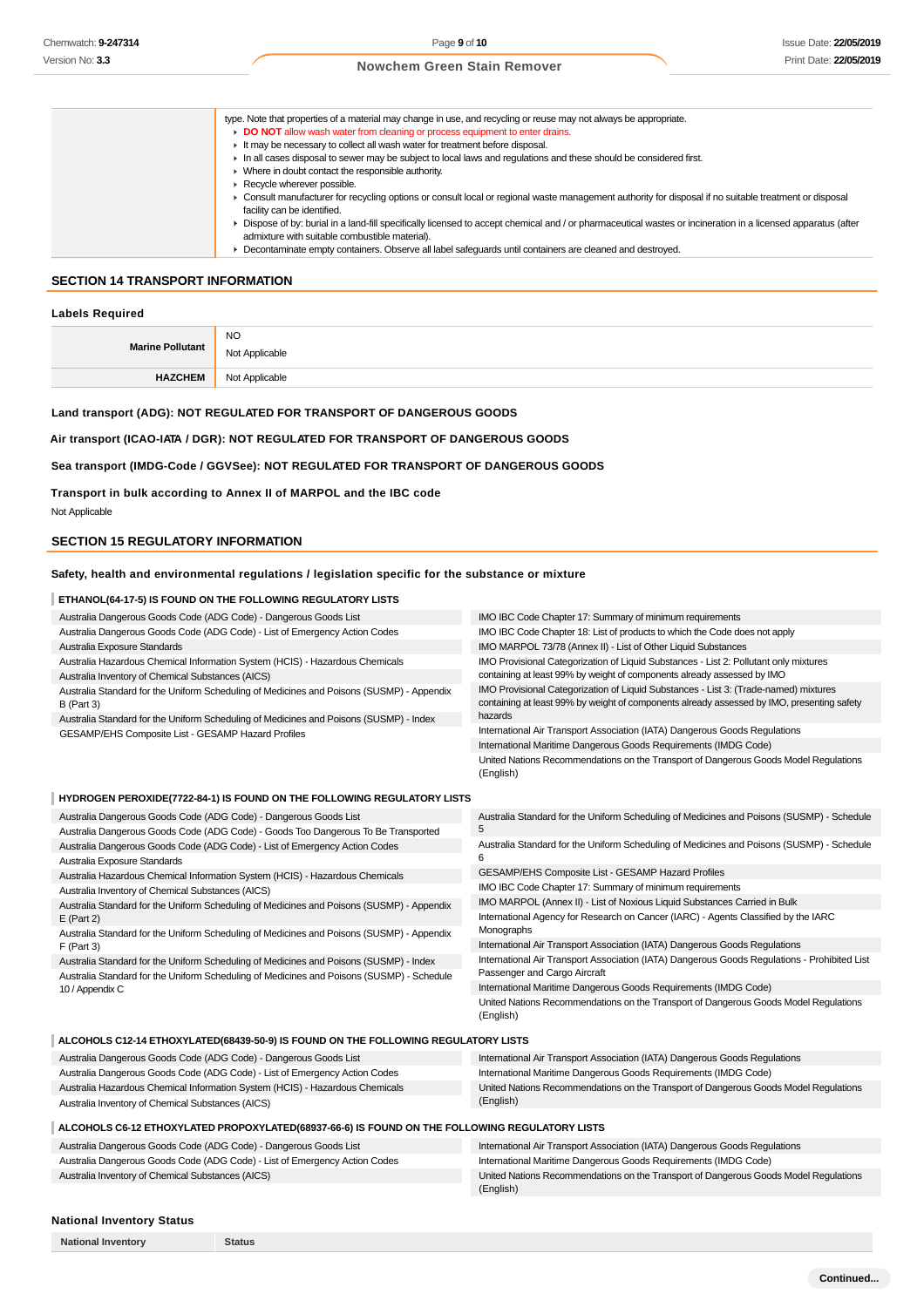| type. Note that properties of a material may change in use, and recycling or reuse may not always be appropriate.                                                                                             |
|---------------------------------------------------------------------------------------------------------------------------------------------------------------------------------------------------------------|
| DO NOT allow wash water from cleaning or process equipment to enter drains.                                                                                                                                   |
| It may be necessary to collect all wash water for treatment before disposal.                                                                                                                                  |
| In all cases disposal to sewer may be subject to local laws and regulations and these should be considered first.                                                                                             |
| • Where in doubt contact the responsible authority.                                                                                                                                                           |
| $\blacktriangleright$ Recycle wherever possible.                                                                                                                                                              |
| • Consult manufacturer for recycling options or consult local or regional waste management authority for disposal if no suitable treatment or disposal                                                        |
| facility can be identified.                                                                                                                                                                                   |
| Dispose of by: burial in a land-fill specifically licensed to accept chemical and / or pharmaceutical wastes or incineration in a licensed apparatus (after<br>admixture with suitable combustible material). |
| • Decontaminate empty containers. Observe all label safeguards until containers are cleaned and destroyed.                                                                                                    |

# **SECTION 14 TRANSPORT INFORMATION**

| <b>Labels Required</b> |                |  |
|------------------------|----------------|--|
|                        | <b>NO</b>      |  |
| Marine Pollutant       | Not Applicable |  |
| <b>HAZCHEM</b>         | Not Applicable |  |

### **Land transport (ADG): NOT REGULATED FOR TRANSPORT OF DANGEROUS GOODS**

**Air transport (ICAO-IATA / DGR): NOT REGULATED FOR TRANSPORT OF DANGEROUS GOODS**

### **Sea transport (IMDG-Code / GGVSee): NOT REGULATED FOR TRANSPORT OF DANGEROUS GOODS**

**Transport in bulk according to Annex II of MARPOL and the IBC code**

Not Applicable

# **SECTION 15 REGULATORY INFORMATION**

### **Safety, health and environmental regulations / legislation specific for the substance or mixture**

### **ETHANOL(64-17-5) IS FOUND ON THE FOLLOWING REGULATORY LISTS**

| Australia Dangerous Goods Code (ADG Code) - Dangerous Goods List                                                                                                                    | IMO IBC Code Chapter 17: Summary of minimum requirements                                                                                                                                      |
|-------------------------------------------------------------------------------------------------------------------------------------------------------------------------------------|-----------------------------------------------------------------------------------------------------------------------------------------------------------------------------------------------|
| Australia Dangerous Goods Code (ADG Code) - List of Emergency Action Codes                                                                                                          | IMO IBC Code Chapter 18: List of products to which the Code does not apply                                                                                                                    |
| Australia Exposure Standards                                                                                                                                                        | IMO MARPOL 73/78 (Annex II) - List of Other Liquid Substances                                                                                                                                 |
| Australia Hazardous Chemical Information System (HCIS) - Hazardous Chemicals<br>Australia Inventory of Chemical Substances (AICS)                                                   | IMO Provisional Categorization of Liquid Substances - List 2: Pollutant only mixtures<br>containing at least 99% by weight of components already assessed by IMO                              |
| Australia Standard for the Uniform Scheduling of Medicines and Poisons (SUSMP) - Appendix<br>$B$ (Part 3)                                                                           | IMO Provisional Categorization of Liquid Substances - List 3: (Trade-named) mixtures<br>containing at least 99% by weight of components already assessed by IMO, presenting safety<br>hazards |
| Australia Standard for the Uniform Scheduling of Medicines and Poisons (SUSMP) - Index                                                                                              | International Air Transport Association (IATA) Dangerous Goods Regulations                                                                                                                    |
| GESAMP/EHS Composite List - GESAMP Hazard Profiles                                                                                                                                  | International Maritime Dangerous Goods Requirements (IMDG Code)                                                                                                                               |
|                                                                                                                                                                                     |                                                                                                                                                                                               |
|                                                                                                                                                                                     | United Nations Recommendations on the Transport of Dangerous Goods Model Regulations<br>(English)                                                                                             |
| HYDROGEN PEROXIDE(7722-84-1) IS FOUND ON THE FOLLOWING REGULATORY LISTS                                                                                                             |                                                                                                                                                                                               |
| Australia Dangerous Goods Code (ADG Code) - Dangerous Goods List                                                                                                                    | Australia Standard for the Uniform Scheduling of Medicines and Poisons (SUSMP) - Schedule                                                                                                     |
| Australia Dangerous Goods Code (ADG Code) - Goods Too Dangerous To Be Transported                                                                                                   | 5                                                                                                                                                                                             |
| Australia Dangerous Goods Code (ADG Code) - List of Emergency Action Codes                                                                                                          | Australia Standard for the Uniform Scheduling of Medicines and Poisons (SUSMP) - Schedule                                                                                                     |
| Australia Exposure Standards                                                                                                                                                        |                                                                                                                                                                                               |
| Australia Hazardous Chemical Information System (HCIS) - Hazardous Chemicals                                                                                                        | GESAMP/EHS Composite List - GESAMP Hazard Profiles                                                                                                                                            |
| Australia Inventory of Chemical Substances (AICS)                                                                                                                                   | IMO IBC Code Chapter 17: Summary of minimum requirements                                                                                                                                      |
| Australia Standard for the Uniform Scheduling of Medicines and Poisons (SUSMP) - Appendix                                                                                           | IMO MARPOL (Annex II) - List of Noxious Liquid Substances Carried in Bulk                                                                                                                     |
| $E$ (Part 2)                                                                                                                                                                        | International Agency for Research on Cancer (IARC) - Agents Classified by the IARC                                                                                                            |
| Australia Standard for the Uniform Scheduling of Medicines and Poisons (SUSMP) - Appendix                                                                                           | Monographs                                                                                                                                                                                    |
| $F$ (Part 3)                                                                                                                                                                        | International Air Transport Association (IATA) Dangerous Goods Regulations                                                                                                                    |
| Australia Standard for the Uniform Scheduling of Medicines and Poisons (SUSMP) - Index<br>Australia Standard for the Uniform Scheduling of Medicines and Poisons (SUSMP) - Schedule | International Air Transport Association (IATA) Dangerous Goods Regulations - Prohibited List<br>Passenger and Cargo Aircraft                                                                  |
| 10 / Appendix C                                                                                                                                                                     | International Maritime Dangerous Goods Requirements (IMDG Code)                                                                                                                               |
|                                                                                                                                                                                     | United Nations Recommendations on the Transport of Dangerous Goods Model Regulations<br>(English)                                                                                             |

### **ALCOHOLS C12-14 ETHOXYLATED(68439-50-9) IS FOUND ON THE FOLLOWING REGULATORY LISTS**

**National Inventory Status**

| Australia Dangerous Goods Code (ADG Code) - Dangerous Goods List             | International Air Transport Association (IATA) Dangerous Goods Regulations           |
|------------------------------------------------------------------------------|--------------------------------------------------------------------------------------|
| Australia Dangerous Goods Code (ADG Code) - List of Emergency Action Codes   | International Maritime Dangerous Goods Requirements (IMDG Code)                      |
| Australia Hazardous Chemical Information System (HCIS) - Hazardous Chemicals | United Nations Recommendations on the Transport of Dangerous Goods Model Regulations |
| Australia Inventory of Chemical Substances (AICS)                            | (English)                                                                            |
|                                                                              |                                                                                      |

## **ALCOHOLS C6-12 ETHOXYLATED PROPOXYLATED(68937-66-6) IS FOUND ON THE FOLLOWING REGULATORY LISTS**

| Australia Dangerous Goods Code (ADG Code) - Dangerous Goods List           | International Air Transport Association (IATA) Dangerous Goods Regulations           |
|----------------------------------------------------------------------------|--------------------------------------------------------------------------------------|
| Australia Dangerous Goods Code (ADG Code) - List of Emergency Action Codes | International Maritime Dangerous Goods Requirements (IMDG Code)                      |
| Australia Inventory of Chemical Substances (AICS)                          | United Nations Recommendations on the Transport of Dangerous Goods Model Regulations |
|                                                                            | (English)                                                                            |

### **National Inventory Status**

|  | <b>National Inventory</b> |
|--|---------------------------|
|--|---------------------------|